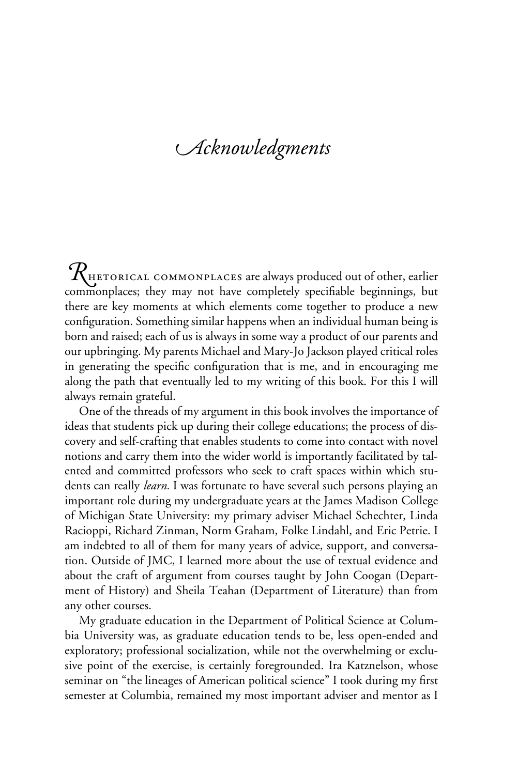## *cknowledgments*

RHETORICAL COMMONPLACES are always produced out of other, earlier commonplaces; they may not have completely specifiable beginnings, but there are key moments at which elements come together to produce a new configuration. Something similar happens when an individual human being is born and raised; each of us is always in some way a product of our parents and our upbringing. My parents Michael and Mary-Jo Jackson played critical roles in generating the specific configuration that is me, and in encouraging me along the path that eventually led to my writing of this book. For this I will always remain grateful.

One of the threads of my argument in this book involves the importance of ideas that students pick up during their college educations; the process of discovery and self-crafting that enables students to come into contact with novel notions and carry them into the wider world is importantly facilitated by talented and committed professors who seek to craft spaces within which students can really *learn.* I was fortunate to have several such persons playing an important role during my undergraduate years at the James Madison College of Michigan State University: my primary adviser Michael Schechter, Linda Racioppi, Richard Zinman, Norm Graham, Folke Lindahl, and Eric Petrie. I am indebted to all of them for many years of advice, support, and conversation. Outside of JMC, I learned more about the use of textual evidence and about the craft of argument from courses taught by John Coogan (Department of History) and Sheila Teahan (Department of Literature) than from any other courses.

My graduate education in the Department of Political Science at Columbia University was, as graduate education tends to be, less open-ended and exploratory; professional socialization, while not the overwhelming or exclusive point of the exercise, is certainly foregrounded. Ira Katznelson, whose seminar on "the lineages of American political science" I took during my first semester at Columbia, remained my most important adviser and mentor as I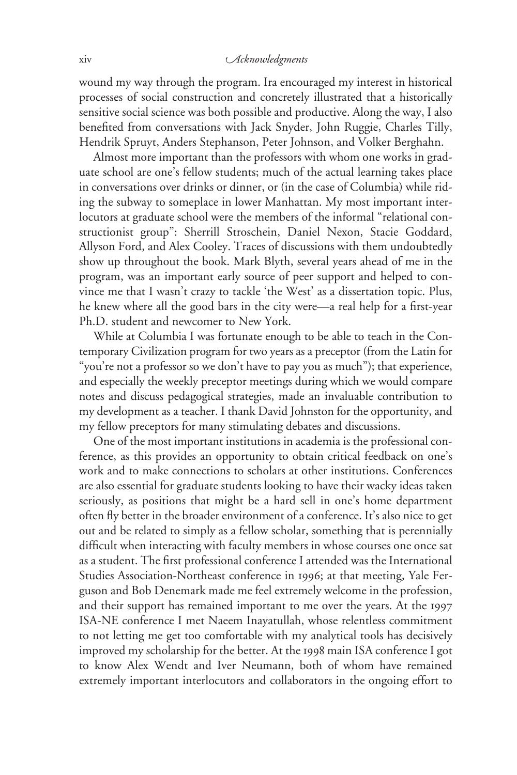## xiv *cknowledgments*

wound my way through the program. Ira encouraged my interest in historical processes of social construction and concretely illustrated that a historically sensitive social science was both possible and productive. Along the way, I also benefited from conversations with Jack Snyder, John Ruggie, Charles Tilly, Hendrik Spruyt, Anders Stephanson, Peter Johnson, and Volker Berghahn.

Almost more important than the professors with whom one works in graduate school are one's fellow students; much of the actual learning takes place in conversations over drinks or dinner, or (in the case of Columbia) while riding the subway to someplace in lower Manhattan. My most important interlocutors at graduate school were the members of the informal "relational constructionist group": Sherrill Stroschein, Daniel Nexon, Stacie Goddard, Allyson Ford, and Alex Cooley. Traces of discussions with them undoubtedly show up throughout the book. Mark Blyth, several years ahead of me in the program, was an important early source of peer support and helped to convince me that I wasn't crazy to tackle 'the West' as a dissertation topic. Plus, he knew where all the good bars in the city were—a real help for a first-year Ph.D. student and newcomer to New York.

While at Columbia I was fortunate enough to be able to teach in the Contemporary Civilization program for two years as a preceptor (from the Latin for "you're not a professor so we don't have to pay you as much"); that experience, and especially the weekly preceptor meetings during which we would compare notes and discuss pedagogical strategies, made an invaluable contribution to my development as a teacher. I thank David Johnston for the opportunity, and my fellow preceptors for many stimulating debates and discussions.

One of the most important institutions in academia is the professional conference, as this provides an opportunity to obtain critical feedback on one's work and to make connections to scholars at other institutions. Conferences are also essential for graduate students looking to have their wacky ideas taken seriously, as positions that might be a hard sell in one's home department often fly better in the broader environment of a conference. It's also nice to get out and be related to simply as a fellow scholar, something that is perennially difficult when interacting with faculty members in whose courses one once sat as a student. The first professional conference I attended was the International Studies Association-Northeast conference in 1996; at that meeting, Yale Ferguson and Bob Denemark made me feel extremely welcome in the profession, and their support has remained important to me over the years. At the 1997 ISA-NE conference I met Naeem Inayatullah, whose relentless commitment to not letting me get too comfortable with my analytical tools has decisively improved my scholarship for the better. At the 1998 main ISA conference I got to know Alex Wendt and Iver Neumann, both of whom have remained extremely important interlocutors and collaborators in the ongoing effort to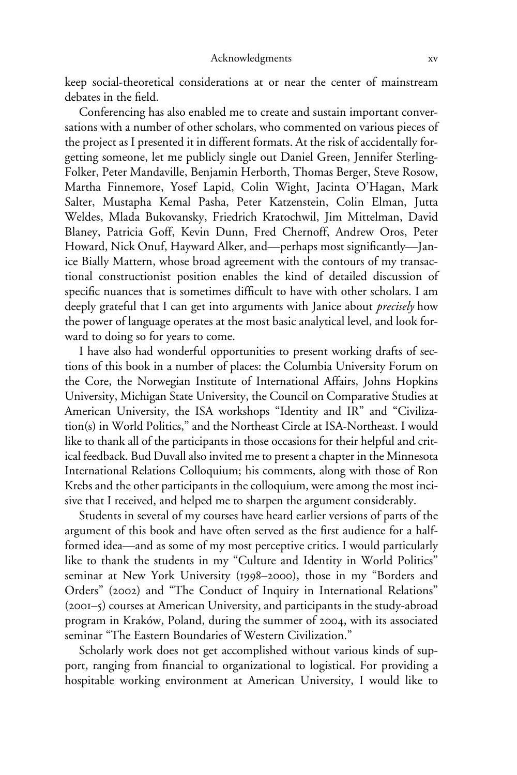keep social-theoretical considerations at or near the center of mainstream debates in the field.

Conferencing has also enabled me to create and sustain important conversations with a number of other scholars, who commented on various pieces of the project as I presented it in different formats. At the risk of accidentally forgetting someone, let me publicly single out Daniel Green, Jennifer Sterling-Folker, Peter Mandaville, Benjamin Herborth, Thomas Berger, Steve Rosow, Martha Finnemore, Yosef Lapid, Colin Wight, Jacinta O'Hagan, Mark Salter, Mustapha Kemal Pasha, Peter Katzenstein, Colin Elman, Jutta Weldes, Mlada Bukovansky, Friedrich Kratochwil, Jim Mittelman, David Blaney, Patricia Goff, Kevin Dunn, Fred Chernoff, Andrew Oros, Peter Howard, Nick Onuf, Hayward Alker, and—perhaps most significantly—Janice Bially Mattern, whose broad agreement with the contours of my transactional constructionist position enables the kind of detailed discussion of specific nuances that is sometimes difficult to have with other scholars. I am deeply grateful that I can get into arguments with Janice about *precisely* how the power of language operates at the most basic analytical level, and look forward to doing so for years to come.

I have also had wonderful opportunities to present working drafts of sections of this book in a number of places: the Columbia University Forum on the Core, the Norwegian Institute of International Affairs, Johns Hopkins University, Michigan State University, the Council on Comparative Studies at American University, the ISA workshops "Identity and IR" and "Civilization(s) in World Politics," and the Northeast Circle at ISA-Northeast. I would like to thank all of the participants in those occasions for their helpful and critical feedback. Bud Duvall also invited me to present a chapter in the Minnesota International Relations Colloquium; his comments, along with those of Ron Krebs and the other participants in the colloquium, were among the most incisive that I received, and helped me to sharpen the argument considerably.

Students in several of my courses have heard earlier versions of parts of the argument of this book and have often served as the first audience for a halfformed idea—and as some of my most perceptive critics. I would particularly like to thank the students in my "Culture and Identity in World Politics" seminar at New York University (1998–2000), those in my "Borders and Orders" (2002) and "The Conduct of Inquiry in International Relations" (2001–5) courses at American University, and participants in the study-abroad program in Kraków, Poland, during the summer of 2004, with its associated seminar "The Eastern Boundaries of Western Civilization."

Scholarly work does not get accomplished without various kinds of support, ranging from financial to organizational to logistical. For providing a hospitable working environment at American University, I would like to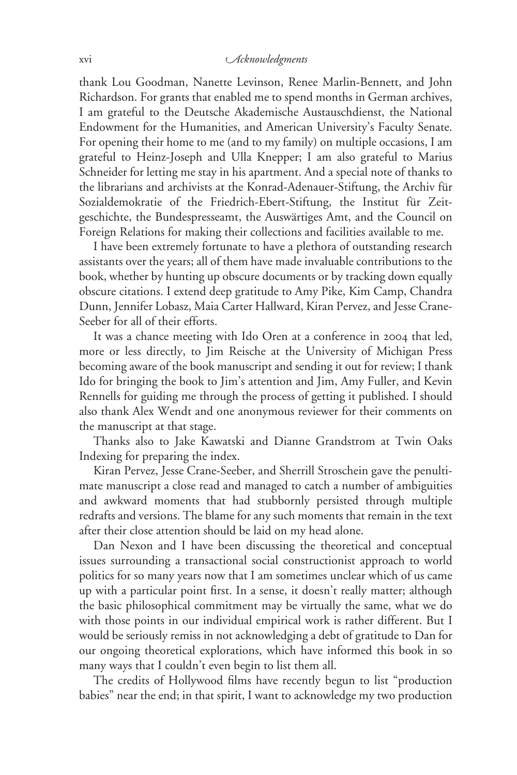## xvi *cknowledgments*

thank Lou Goodman, Nanette Levinson, Renee Marlin-Bennett, and John Richardson. For grants that enabled me to spend months in German archives, I am grateful to the Deutsche Akademische Austauschdienst, the National Endowment for the Humanities, and American University's Faculty Senate. For opening their home to me (and to my family) on multiple occasions, I am grateful to Heinz-Joseph and Ulla Knepper; I am also grateful to Marius Schneider for letting me stay in his apartment. And a special note of thanks to the librarians and archivists at the Konrad-Adenauer-Stiftung, the Archiv für Sozialdemokratie of the Friedrich-Ebert-Stiftung, the Institut für Zeitgeschichte, the Bundespresseamt, the Auswärtiges Amt, and the Council on Foreign Relations for making their collections and facilities available to me.

I have been extremely fortunate to have a plethora of outstanding research assistants over the years; all of them have made invaluable contributions to the book, whether by hunting up obscure documents or by tracking down equally obscure citations. I extend deep gratitude to Amy Pike, Kim Camp, Chandra Dunn, Jennifer Lobasz, Maia Carter Hallward, Kiran Pervez, and Jesse Crane-Seeber for all of their efforts.

It was a chance meeting with Ido Oren at a conference in 2004 that led, more or less directly, to Jim Reische at the University of Michigan Press becoming aware of the book manuscript and sending it out for review; I thank Ido for bringing the book to Jim's attention and Jim, Amy Fuller, and Kevin Rennells for guiding me through the process of getting it published. I should also thank Alex Wendt and one anonymous reviewer for their comments on the manuscript at that stage.

Thanks also to Jake Kawatski and Dianne Grandstrom at Twin Oaks Indexing for preparing the index.

Kiran Pervez, Jesse Crane-Seeber, and Sherrill Stroschein gave the penultimate manuscript a close read and managed to catch a number of ambiguities and awkward moments that had stubbornly persisted through multiple redrafts and versions. The blame for any such moments that remain in the text after their close attention should be laid on my head alone.

Dan Nexon and I have been discussing the theoretical and conceptual issues surrounding a transactional social constructionist approach to world politics for so many years now that I am sometimes unclear which of us came up with a particular point first. In a sense, it doesn't really matter; although the basic philosophical commitment may be virtually the same, what we do with those points in our individual empirical work is rather different. But I would be seriously remiss in not acknowledging a debt of gratitude to Dan for our ongoing theoretical explorations, which have informed this book in so many ways that I couldn't even begin to list them all.

The credits of Hollywood films have recently begun to list "production babies" near the end; in that spirit, I want to acknowledge my two production